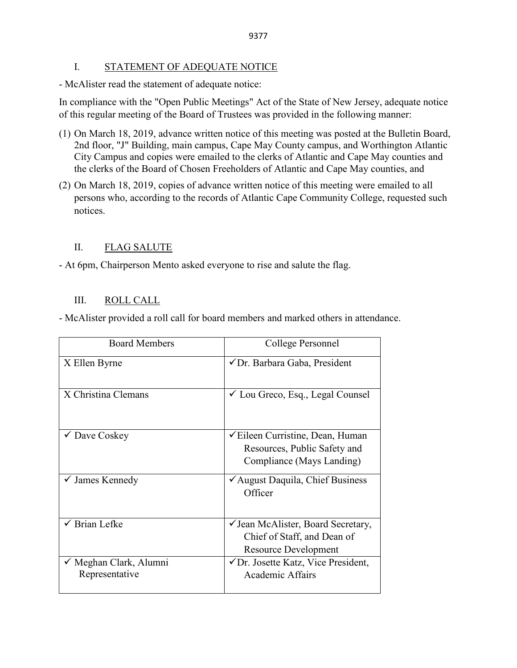## I. STATEMENT OF ADEQUATE NOTICE

- McAlister read the statement of adequate notice:

In compliance with the "Open Public Meetings" Act of the State of New Jersey, adequate notice of this regular meeting of the Board of Trustees was provided in the following manner:

- (1) On March 18, 2019, advance written notice of this meeting was posted at the Bulletin Board, 2nd floor, "J" Building, main campus, Cape May County campus, and Worthington Atlantic City Campus and copies were emailed to the clerks of Atlantic and Cape May counties and the clerks of the Board of Chosen Freeholders of Atlantic and Cape May counties, and
- (2) On March 18, 2019, copies of advance written notice of this meeting were emailed to all persons who, according to the records of Atlantic Cape Community College, requested such notices.

# II. FLAG SALUTE

- At 6pm, Chairperson Mento asked everyone to rise and salute the flag.

# III. ROLL CALL

- McAlister provided a roll call for board members and marked others in attendance.

| <b>Board Members</b>                     | College Personnel                                                                                       |
|------------------------------------------|---------------------------------------------------------------------------------------------------------|
| X Ellen Byrne                            | √Dr. Barbara Gaba, President                                                                            |
| X Christina Clemans                      | $\checkmark$ Lou Greco, Esq., Legal Counsel                                                             |
| $\checkmark$ Dave Coskey                 | <del></del> Eileen Curristine, Dean, Human<br>Resources, Public Safety and<br>Compliance (Mays Landing) |
| $\checkmark$ James Kennedy               | ✔ August Daquila, Chief Business<br>Officer                                                             |
| $\checkmark$ Brian Lefke                 | ✓ Jean McAlister, Board Secretary,<br>Chief of Staff, and Dean of<br><b>Resource Development</b>        |
| ✓ Meghan Clark, Alumni<br>Representative | $\sqrt{D}$ r. Josette Katz, Vice President,<br><b>Academic Affairs</b>                                  |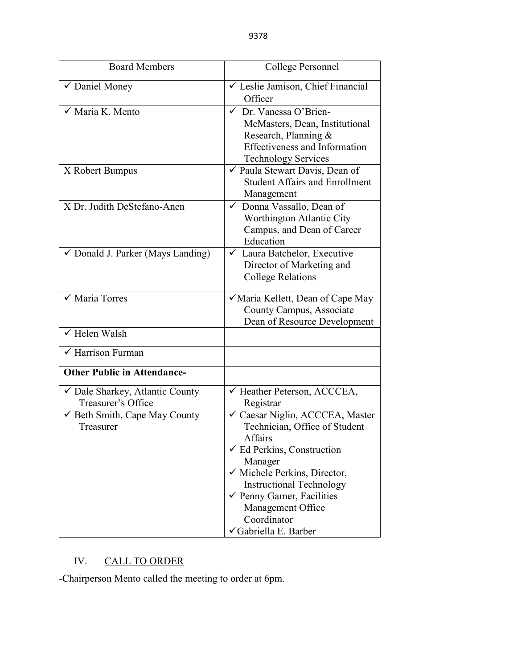| <b>Board Members</b>                                                                                         | College Personnel                                                                                                                                                                                                                                                                                                                                   |
|--------------------------------------------------------------------------------------------------------------|-----------------------------------------------------------------------------------------------------------------------------------------------------------------------------------------------------------------------------------------------------------------------------------------------------------------------------------------------------|
| $\overline{\checkmark}$ Daniel Money                                                                         | ✓ Leslie Jamison, Chief Financial<br>Officer                                                                                                                                                                                                                                                                                                        |
| $\sqrt{\overline{M}}$ Maria K. Mento                                                                         | $\checkmark$ Dr. Vanessa O'Brien-<br>McMasters, Dean, Institutional<br>Research, Planning &<br><b>Effectiveness and Information</b><br><b>Technology Services</b>                                                                                                                                                                                   |
| X Robert Bumpus                                                                                              | ✔ Paula Stewart Davis, Dean of<br><b>Student Affairs and Enrollment</b><br>Management                                                                                                                                                                                                                                                               |
| X Dr. Judith DeStefano-Anen                                                                                  | ✓ Donna Vassallo, Dean of<br>Worthington Atlantic City<br>Campus, and Dean of Career<br>Education                                                                                                                                                                                                                                                   |
| $\checkmark$ Donald J. Parker (Mays Landing)                                                                 | ← Laura Batchelor, Executive<br>Director of Marketing and<br><b>College Relations</b>                                                                                                                                                                                                                                                               |
| $\checkmark$ Maria Torres                                                                                    | Maria Kellett, Dean of Cape May<br>County Campus, Associate<br>Dean of Resource Development                                                                                                                                                                                                                                                         |
| $\checkmark$ Helen Walsh                                                                                     |                                                                                                                                                                                                                                                                                                                                                     |
| $\checkmark$ Harrison Furman                                                                                 |                                                                                                                                                                                                                                                                                                                                                     |
| <b>Other Public in Attendance-</b>                                                                           |                                                                                                                                                                                                                                                                                                                                                     |
| Dale Sharkey, Atlantic County<br>Treasurer's Office<br>$\checkmark$ Beth Smith, Cape May County<br>Treasurer | ← Heather Peterson, ACCCEA,<br>Registrar<br>✓ Caesar Niglio, ACCCEA, Master<br>Technician, Office of Student<br>Affairs<br>$\checkmark$ Ed Perkins, Construction<br>Manager<br>√ Michele Perkins, Director,<br><b>Instructional Technology</b><br>$\checkmark$ Penny Garner, Facilities<br>Management Office<br>Coordinator<br>√Gabriella E. Barber |

# IV. CALL TO ORDER

-Chairperson Mento called the meeting to order at 6pm.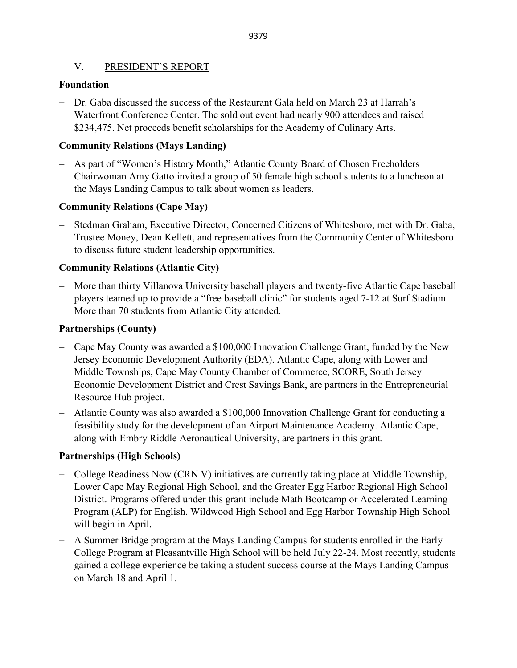## V. PRESIDENT'S REPORT

## **Foundation**

− Dr. Gaba discussed the success of the Restaurant Gala held on March 23 at Harrah's Waterfront Conference Center. The sold out event had nearly 900 attendees and raised \$234,475. Net proceeds benefit scholarships for the Academy of Culinary Arts.

## **Community Relations (Mays Landing)**

− As part of "Women's History Month," Atlantic County Board of Chosen Freeholders Chairwoman Amy Gatto invited a group of 50 female high school students to a luncheon at the Mays Landing Campus to talk about women as leaders.

## **Community Relations (Cape May)**

− Stedman Graham, Executive Director, Concerned Citizens of Whitesboro, met with Dr. Gaba, Trustee Money, Dean Kellett, and representatives from the Community Center of Whitesboro to discuss future student leadership opportunities.

# **Community Relations (Atlantic City)**

− More than thirty Villanova University baseball players and twenty-five Atlantic Cape baseball players teamed up to provide a "free baseball clinic" for students aged 7-12 at Surf Stadium. More than 70 students from Atlantic City attended.

## **Partnerships (County)**

- − Cape May County was awarded a \$100,000 Innovation Challenge Grant, funded by the New Jersey Economic Development Authority (EDA). Atlantic Cape, along with Lower and Middle Townships, Cape May County Chamber of Commerce, SCORE, South Jersey Economic Development District and Crest Savings Bank, are partners in the Entrepreneurial Resource Hub project.
- − Atlantic County was also awarded a \$100,000 Innovation Challenge Grant for conducting a feasibility study for the development of an Airport Maintenance Academy. Atlantic Cape, along with Embry Riddle Aeronautical University, are partners in this grant.

## **Partnerships (High Schools)**

- − College Readiness Now (CRN V) initiatives are currently taking place at Middle Township, Lower Cape May Regional High School, and the Greater Egg Harbor Regional High School District. Programs offered under this grant include Math Bootcamp or Accelerated Learning Program (ALP) for English. Wildwood High School and Egg Harbor Township High School will begin in April.
- − A Summer Bridge program at the Mays Landing Campus for students enrolled in the Early College Program at Pleasantville High School will be held July 22-24. Most recently, students gained a college experience be taking a student success course at the Mays Landing Campus on March 18 and April 1.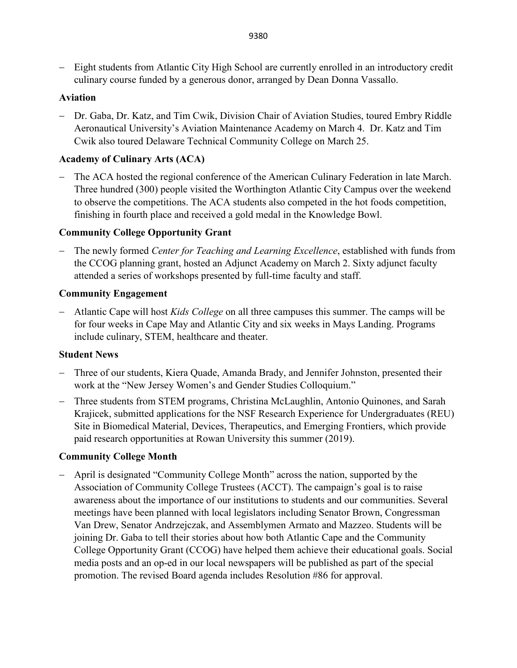− Eight students from Atlantic City High School are currently enrolled in an introductory credit culinary course funded by a generous donor, arranged by Dean Donna Vassallo.

## **Aviation**

− Dr. Gaba, Dr. Katz, and Tim Cwik, Division Chair of Aviation Studies, toured Embry Riddle Aeronautical University's Aviation Maintenance Academy on March 4.Dr. Katz and Tim Cwik also toured Delaware Technical Community College on March 25.

## **Academy of Culinary Arts (ACA)**

The ACA hosted the regional conference of the American Culinary Federation in late March. Three hundred (300) people visited the Worthington Atlantic City Campus over the weekend to observe the competitions. The ACA students also competed in the hot foods competition, finishing in fourth place and received a gold medal in the Knowledge Bowl.

## **Community College Opportunity Grant**

− The newly formed *Center for Teaching and Learning Excellence*, established with funds from the CCOG planning grant, hosted an Adjunct Academy on March 2. Sixty adjunct faculty attended a series of workshops presented by full-time faculty and staff.

## **Community Engagement**

− Atlantic Cape will host *Kids College* on all three campuses this summer. The camps will be for four weeks in Cape May and Atlantic City and six weeks in Mays Landing. Programs include culinary, STEM, healthcare and theater.

## **Student News**

- − Three of our students, Kiera Quade, Amanda Brady, and Jennifer Johnston, presented their work at the "New Jersey Women's and Gender Studies Colloquium."
- − Three students from STEM programs, Christina McLaughlin, Antonio Quinones, and Sarah Krajicek, submitted applications for the NSF Research Experience for Undergraduates (REU) Site in Biomedical Material, Devices, Therapeutics, and Emerging Frontiers, which provide paid research opportunities at Rowan University this summer (2019).

## **Community College Month**

− April is designated "Community College Month" across the nation, supported by the Association of Community College Trustees (ACCT). The campaign's goal is to raise awareness about the importance of our institutions to students and our communities. Several meetings have been planned with local legislators including Senator Brown, Congressman Van Drew, Senator Andrzejczak, and Assemblymen Armato and Mazzeo. Students will be joining Dr. Gaba to tell their stories about how both Atlantic Cape and the Community College Opportunity Grant (CCOG) have helped them achieve their educational goals. Social media posts and an op-ed in our local newspapers will be published as part of the special promotion. The revised Board agenda includes Resolution #86 for approval.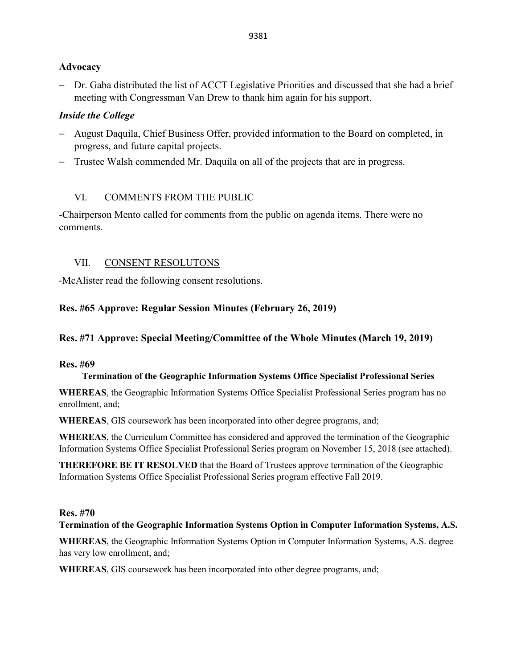## **Advocacy**

− Dr. Gaba distributed the list of ACCT Legislative Priorities and discussed that she had a brief meeting with Congressman Van Drew to thank him again for his support.

# *Inside the College*

- − August Daquila, Chief Business Offer, provided information to the Board on completed, in progress, and future capital projects.
- − Trustee Walsh commended Mr. Daquila on all of the projects that are in progress.

# VI. COMMENTS FROM THE PUBLIC

-Chairperson Mento called for comments from the public on agenda items. There were no comments.

# VII. CONSENT RESOLUTONS

-McAlister read the following consent resolutions.

# **Res. #65 Approve: Regular Session Minutes (February 26, 2019)**

# **Res. #71 Approve: Special Meeting/Committee of the Whole Minutes (March 19, 2019)**

## **Res. #69**

## **Termination of the Geographic Information Systems Office Specialist Professional Series**

**WHEREAS**, the Geographic Information Systems Office Specialist Professional Series program has no enrollment, and;

**WHEREAS**, GIS coursework has been incorporated into other degree programs, and;

**WHEREAS**, the Curriculum Committee has considered and approved the termination of the Geographic Information Systems Office Specialist Professional Series program on November 15, 2018 (see attached).

**THEREFORE BE IT RESOLVED** that the Board of Trustees approve termination of the Geographic Information Systems Office Specialist Professional Series program effective Fall 2019.

## **Res. #70**

## **Termination of the Geographic Information Systems Option in Computer Information Systems, A.S.**

**WHEREAS**, the Geographic Information Systems Option in Computer Information Systems, A.S. degree has very low enrollment, and;

**WHEREAS**, GIS coursework has been incorporated into other degree programs, and;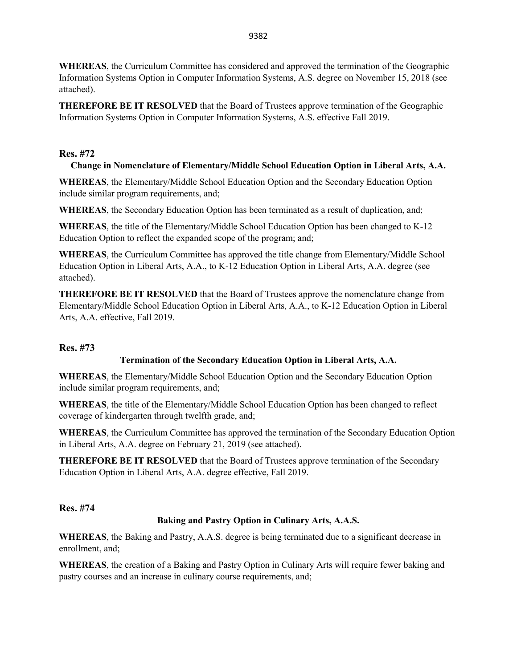**WHEREAS**, the Curriculum Committee has considered and approved the termination of the Geographic Information Systems Option in Computer Information Systems, A.S. degree on November 15, 2018 (see attached).

**THEREFORE BE IT RESOLVED** that the Board of Trustees approve termination of the Geographic Information Systems Option in Computer Information Systems, A.S. effective Fall 2019.

## **Res. #72**

## **Change in Nomenclature of Elementary/Middle School Education Option in Liberal Arts, A.A.**

**WHEREAS**, the Elementary/Middle School Education Option and the Secondary Education Option include similar program requirements, and;

**WHEREAS**, the Secondary Education Option has been terminated as a result of duplication, and;

**WHEREAS**, the title of the Elementary/Middle School Education Option has been changed to K-12 Education Option to reflect the expanded scope of the program; and;

**WHEREAS**, the Curriculum Committee has approved the title change from Elementary/Middle School Education Option in Liberal Arts, A.A., to K-12 Education Option in Liberal Arts, A.A. degree (see attached).

**THEREFORE BE IT RESOLVED** that the Board of Trustees approve the nomenclature change from Elementary/Middle School Education Option in Liberal Arts, A.A., to K-12 Education Option in Liberal Arts, A.A. effective, Fall 2019.

## **Res. #73**

## **Termination of the Secondary Education Option in Liberal Arts, A.A.**

**WHEREAS**, the Elementary/Middle School Education Option and the Secondary Education Option include similar program requirements, and;

**WHEREAS**, the title of the Elementary/Middle School Education Option has been changed to reflect coverage of kindergarten through twelfth grade, and;

**WHEREAS**, the Curriculum Committee has approved the termination of the Secondary Education Option in Liberal Arts, A.A. degree on February 21, 2019 (see attached).

**THEREFORE BE IT RESOLVED** that the Board of Trustees approve termination of the Secondary Education Option in Liberal Arts, A.A. degree effective, Fall 2019.

**Res. #74**

### **Baking and Pastry Option in Culinary Arts, A.A.S.**

**WHEREAS**, the Baking and Pastry, A.A.S. degree is being terminated due to a significant decrease in enrollment, and;

**WHEREAS**, the creation of a Baking and Pastry Option in Culinary Arts will require fewer baking and pastry courses and an increase in culinary course requirements, and;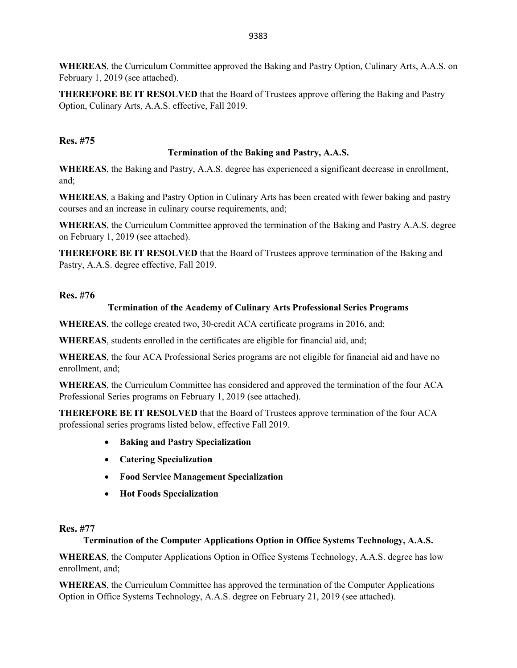**WHEREAS**, the Curriculum Committee approved the Baking and Pastry Option, Culinary Arts, A.A.S. on February 1, 2019 (see attached).

**THEREFORE BE IT RESOLVED** that the Board of Trustees approve offering the Baking and Pastry Option, Culinary Arts, A.A.S. effective, Fall 2019.

## **Res. #75**

## **Termination of the Baking and Pastry, A.A.S.**

**WHEREAS**, the Baking and Pastry, A.A.S. degree has experienced a significant decrease in enrollment, and;

**WHEREAS**, a Baking and Pastry Option in Culinary Arts has been created with fewer baking and pastry courses and an increase in culinary course requirements, and;

**WHEREAS**, the Curriculum Committee approved the termination of the Baking and Pastry A.A.S. degree on February 1, 2019 (see attached).

**THEREFORE BE IT RESOLVED** that the Board of Trustees approve termination of the Baking and Pastry, A.A.S. degree effective, Fall 2019.

## **Res. #76**

## **Termination of the Academy of Culinary Arts Professional Series Programs**

**WHEREAS**, the college created two, 30-credit ACA certificate programs in 2016, and;

**WHEREAS**, students enrolled in the certificates are eligible for financial aid, and;

**WHEREAS**, the four ACA Professional Series programs are not eligible for financial aid and have no enrollment, and;

**WHEREAS**, the Curriculum Committee has considered and approved the termination of the four ACA Professional Series programs on February 1, 2019 (see attached).

**THEREFORE BE IT RESOLVED** that the Board of Trustees approve termination of the four ACA professional series programs listed below, effective Fall 2019.

- **Baking and Pastry Specialization**
- **Catering Specialization**
- **Food Service Management Specialization**
- **Hot Foods Specialization**

## **Res. #77**

## **Termination of the Computer Applications Option in Office Systems Technology, A.A.S.**

**WHEREAS**, the Computer Applications Option in Office Systems Technology, A.A.S. degree has low enrollment, and;

**WHEREAS**, the Curriculum Committee has approved the termination of the Computer Applications Option in Office Systems Technology, A.A.S. degree on February 21, 2019 (see attached).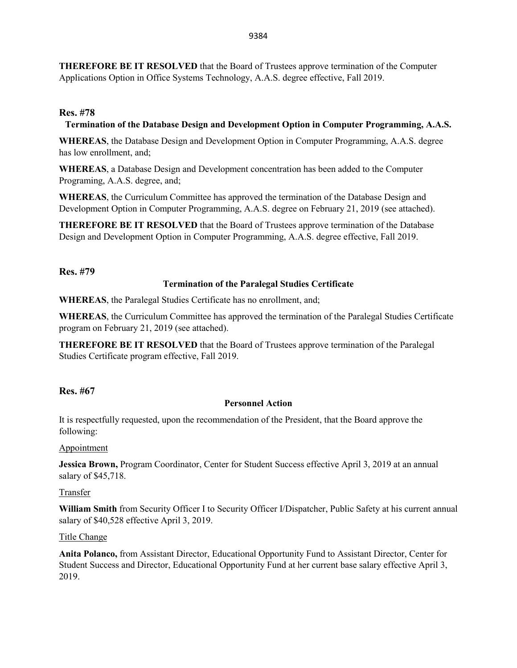**THEREFORE BE IT RESOLVED** that the Board of Trustees approve termination of the Computer Applications Option in Office Systems Technology, A.A.S. degree effective, Fall 2019.

## **Res. #78**

### **Termination of the Database Design and Development Option in Computer Programming, A.A.S.**

**WHEREAS**, the Database Design and Development Option in Computer Programming, A.A.S. degree has low enrollment, and;

**WHEREAS**, a Database Design and Development concentration has been added to the Computer Programing, A.A.S. degree, and;

**WHEREAS**, the Curriculum Committee has approved the termination of the Database Design and Development Option in Computer Programming, A.A.S. degree on February 21, 2019 (see attached).

**THEREFORE BE IT RESOLVED** that the Board of Trustees approve termination of the Database Design and Development Option in Computer Programming, A.A.S. degree effective, Fall 2019.

### **Res. #79**

### **Termination of the Paralegal Studies Certificate**

**WHEREAS**, the Paralegal Studies Certificate has no enrollment, and;

**WHEREAS**, the Curriculum Committee has approved the termination of the Paralegal Studies Certificate program on February 21, 2019 (see attached).

**THEREFORE BE IT RESOLVED** that the Board of Trustees approve termination of the Paralegal Studies Certificate program effective, Fall 2019.

## **Res. #67**

### **Personnel Action**

It is respectfully requested, upon the recommendation of the President, that the Board approve the following:

### Appointment

**Jessica Brown,** Program Coordinator, Center for Student Success effective April 3, 2019 at an annual salary of \$45,718.

### Transfer

**William Smith** from Security Officer I to Security Officer I/Dispatcher, Public Safety at his current annual salary of \$40,528 effective April 3, 2019.

### Title Change

**Anita Polanco,** from Assistant Director, Educational Opportunity Fund to Assistant Director, Center for Student Success and Director, Educational Opportunity Fund at her current base salary effective April 3, 2019.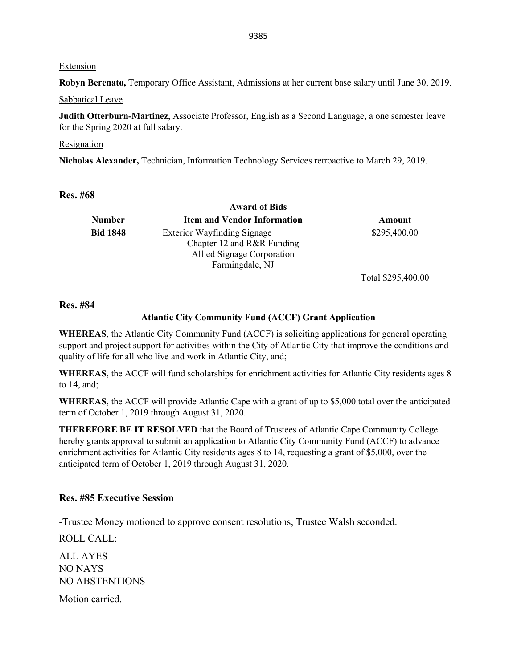#### Extension

**Robyn Berenato,** Temporary Office Assistant, Admissions at her current base salary until June 30, 2019.

Sabbatical Leave

**Judith Otterburn-Martinez**, Associate Professor, English as a Second Language, a one semester leave for the Spring 2020 at full salary.

#### Resignation

**Nicholas Alexander,** Technician, Information Technology Services retroactive to March 29, 2019.

### **Res. #68**

|                 | <b>Award of Bids</b>                                                                                              |                    |
|-----------------|-------------------------------------------------------------------------------------------------------------------|--------------------|
| <b>Number</b>   | <b>Item and Vendor Information</b>                                                                                | Amount             |
| <b>Bid 1848</b> | <b>Exterior Wayfinding Signage</b><br>Chapter 12 and R&R Funding<br>Allied Signage Corporation<br>Farmingdale, NJ | \$295,400.00       |
|                 |                                                                                                                   | Total \$295,400.00 |

#### **Res. #84**

#### **Atlantic City Community Fund (ACCF) Grant Application**

**WHEREAS**, the Atlantic City Community Fund (ACCF) is soliciting applications for general operating support and project support for activities within the City of Atlantic City that improve the conditions and quality of life for all who live and work in Atlantic City, and;

**WHEREAS**, the ACCF will fund scholarships for enrichment activities for Atlantic City residents ages 8 to 14, and;

**WHEREAS**, the ACCF will provide Atlantic Cape with a grant of up to \$5,000 total over the anticipated term of October 1, 2019 through August 31, 2020.

**THEREFORE BE IT RESOLVED** that the Board of Trustees of Atlantic Cape Community College hereby grants approval to submit an application to Atlantic City Community Fund (ACCF) to advance enrichment activities for Atlantic City residents ages 8 to 14, requesting a grant of \$5,000, over the anticipated term of October 1, 2019 through August 31, 2020.

#### **Res. #85 Executive Session**

-Trustee Money motioned to approve consent resolutions, Trustee Walsh seconded.

ROLL CALL:

ALL AYES NO NAYS NO ABSTENTIONS

Motion carried.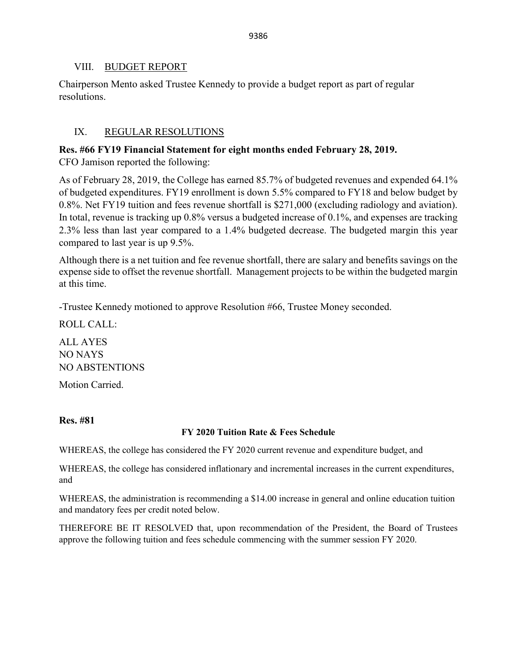## VIII. BUDGET REPORT

Chairperson Mento asked Trustee Kennedy to provide a budget report as part of regular resolutions.

# IX. REGULAR RESOLUTIONS

# **Res. #66 FY19 Financial Statement for eight months ended February 28, 2019.**

CFO Jamison reported the following:

As of February 28, 2019, the College has earned 85.7% of budgeted revenues and expended 64.1% of budgeted expenditures. FY19 enrollment is down 5.5% compared to FY18 and below budget by 0.8%. Net FY19 tuition and fees revenue shortfall is \$271,000 (excluding radiology and aviation). In total, revenue is tracking up 0.8% versus a budgeted increase of 0.1%, and expenses are tracking 2.3% less than last year compared to a 1.4% budgeted decrease. The budgeted margin this year compared to last year is up 9.5%.

Although there is a net tuition and fee revenue shortfall, there are salary and benefits savings on the expense side to offset the revenue shortfall. Management projects to be within the budgeted margin at this time.

-Trustee Kennedy motioned to approve Resolution #66, Trustee Money seconded.

ROLL CALL:

ALL AYES NO NAYS NO ABSTENTIONS

Motion Carried.

## **Res. #81**

## **FY 2020 Tuition Rate & Fees Schedule**

WHEREAS, the college has considered the FY 2020 current revenue and expenditure budget, and

WHEREAS, the college has considered inflationary and incremental increases in the current expenditures, and

WHEREAS, the administration is recommending a \$14.00 increase in general and online education tuition and mandatory fees per credit noted below.

THEREFORE BE IT RESOLVED that, upon recommendation of the President, the Board of Trustees approve the following tuition and fees schedule commencing with the summer session FY 2020.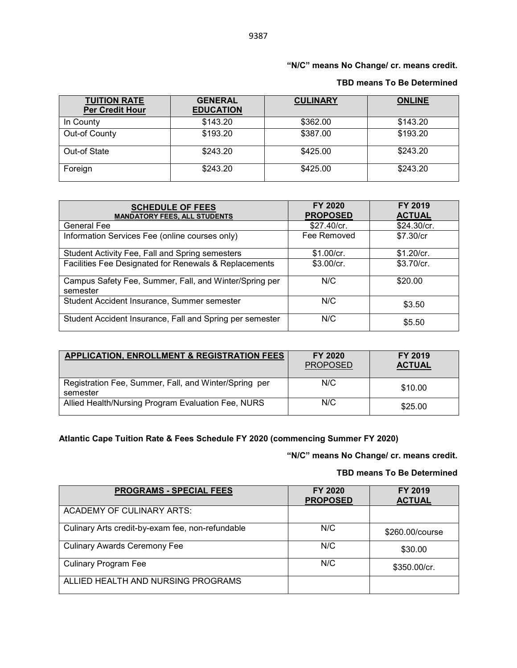### **"N/C" means No Change/ cr. means credit.**

| <b>TUITION RATE</b><br><b>Per Credit Hour</b> | <b>GENERAL</b><br><b>EDUCATION</b> | <b>CULINARY</b> | <b>ONLINE</b> |
|-----------------------------------------------|------------------------------------|-----------------|---------------|
| In County                                     | \$143.20                           | \$362.00        | \$143.20      |
| Out-of County                                 | \$193.20                           | \$387.00        | \$193.20      |
| Out-of State                                  | \$243.20                           | \$425.00        | \$243.20      |
| Foreign                                       | \$243.20                           | \$425.00        | \$243.20      |

#### **TBD means To Be Determined**

| <b>SCHEDULE OF FEES</b><br><b>MANDATORY FEES, ALL STUDENTS</b>     | FY 2020<br><b>PROPOSED</b> | FY 2019<br><b>ACTUAL</b> |
|--------------------------------------------------------------------|----------------------------|--------------------------|
| <b>General Fee</b>                                                 | \$27.40/cr.                | \$24.30/cr.              |
| Information Services Fee (online courses only)                     | Fee Removed                | \$7.30/cr                |
| Student Activity Fee, Fall and Spring semesters                    | \$1.00/cr.                 | \$1.20/cr.               |
| Facilities Fee Designated for Renewals & Replacements              | \$3.00/cr.                 | \$3.70/cr.               |
| Campus Safety Fee, Summer, Fall, and Winter/Spring per<br>semester | N/C                        | \$20.00                  |
| Student Accident Insurance, Summer semester                        | N/C                        | \$3.50                   |
| Student Accident Insurance, Fall and Spring per semester           | N/C                        | \$5.50                   |

| <b>APPLICATION, ENROLLMENT &amp; REGISTRATION FEES</b>            | FY 2020<br>PROPOSED | <b>FY 2019</b><br><b>ACTUAL</b> |
|-------------------------------------------------------------------|---------------------|---------------------------------|
| Registration Fee, Summer, Fall, and Winter/Spring per<br>semester | N/C                 | \$10.00                         |
| Allied Health/Nursing Program Evaluation Fee, NURS                | N/C                 | \$25.00                         |

# **Atlantic Cape Tuition Rate & Fees Schedule FY 2020 (commencing Summer FY 2020)**

**"N/C" means No Change/ cr. means credit.** 

#### **TBD means To Be Determined**

| <b>PROGRAMS - SPECIAL FEES</b>                   | FY 2020<br><b>PROPOSED</b> | FY 2019<br><b>ACTUAL</b> |
|--------------------------------------------------|----------------------------|--------------------------|
| ACADEMY OF CULINARY ARTS:                        |                            |                          |
| Culinary Arts credit-by-exam fee, non-refundable | N/C                        | \$260.00/course          |
| <b>Culinary Awards Ceremony Fee</b>              | N/C                        | \$30.00                  |
| <b>Culinary Program Fee</b>                      | N/C                        | \$350.00/cr.             |
| ALLIED HEALTH AND NURSING PROGRAMS               |                            |                          |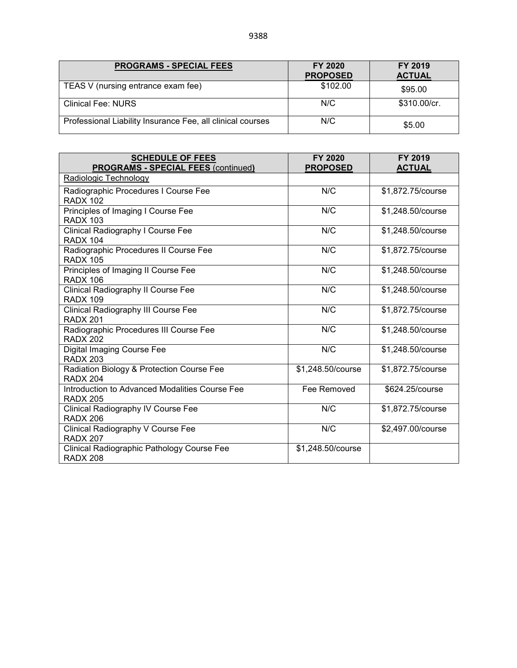| <b>PROGRAMS - SPECIAL FEES</b>                             | FY 2020<br><b>PROPOSED</b> | FY 2019<br><b>ACTUAL</b> |
|------------------------------------------------------------|----------------------------|--------------------------|
| TEAS V (nursing entrance exam fee)                         | \$102.00                   | \$95.00                  |
| <b>Clinical Fee: NURS</b>                                  | N/C                        | \$310.00/cr.             |
| Professional Liability Insurance Fee, all clinical courses | N/C                        | \$5.00                   |

| <b>SCHEDULE OF FEES</b>                                           | <b>FY 2020</b>    | FY 2019           |
|-------------------------------------------------------------------|-------------------|-------------------|
| <b>PROGRAMS - SPECIAL FEES (continued)</b>                        | <b>PROPOSED</b>   | <b>ACTUAL</b>     |
| Radiologic Technology                                             |                   |                   |
| Radiographic Procedures I Course Fee<br><b>RADX 102</b>           | N/C               | \$1,872.75/course |
| Principles of Imaging I Course Fee<br><b>RADX 103</b>             | N/C               | \$1,248.50/course |
| Clinical Radiography I Course Fee<br><b>RADX 104</b>              | N/C               | \$1,248.50/course |
| Radiographic Procedures II Course Fee<br><b>RADX 105</b>          | N/C               | \$1,872.75/course |
| Principles of Imaging II Course Fee<br><b>RADX 106</b>            | N/C               | \$1,248.50/course |
| Clinical Radiography II Course Fee<br><b>RADX 109</b>             | N/C               | \$1,248.50/course |
| Clinical Radiography III Course Fee<br><b>RADX 201</b>            | N/C               | \$1,872.75/course |
| Radiographic Procedures III Course Fee<br><b>RADX 202</b>         | N/C               | \$1,248.50/course |
| Digital Imaging Course Fee<br><b>RADX 203</b>                     | N/C               | \$1,248.50/course |
| Radiation Biology & Protection Course Fee<br><b>RADX 204</b>      | \$1,248.50/course | \$1,872.75/course |
| Introduction to Advanced Modalities Course Fee<br><b>RADX 205</b> | Fee Removed       | \$624.25/course   |
| Clinical Radiography IV Course Fee<br><b>RADX 206</b>             | N/C               | \$1,872.75/course |
| Clinical Radiography V Course Fee<br><b>RADX 207</b>              | N/C               | \$2,497.00/course |
| Clinical Radiographic Pathology Course Fee<br><b>RADX 208</b>     | \$1,248.50/course |                   |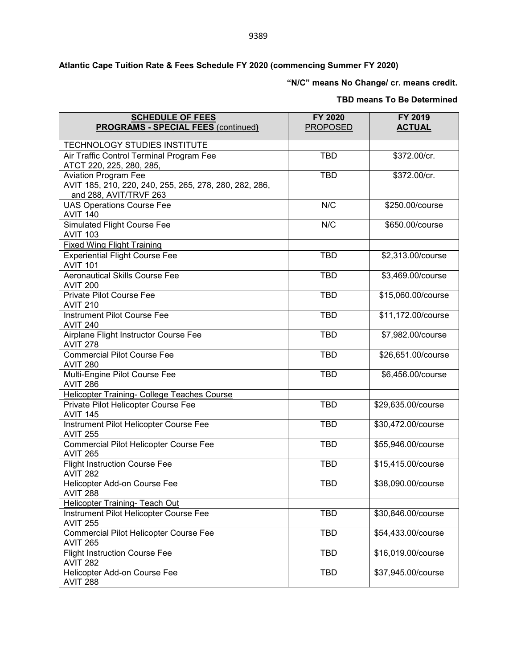**"N/C" means No Change/ cr. means credit.** 

#### **TBD means To Be Determined**

| <b>SCHEDULE OF FEES</b><br><b>PROGRAMS - SPECIAL FEES (continued)</b>                                           | FY 2020<br><b>PROPOSED</b> | FY 2019<br><b>ACTUAL</b> |
|-----------------------------------------------------------------------------------------------------------------|----------------------------|--------------------------|
| TECHNOLOGY STUDIES INSTITUTE                                                                                    |                            |                          |
| Air Traffic Control Terminal Program Fee<br>ATCT 220, 225, 280, 285,                                            | <b>TBD</b>                 | \$372.00/cr.             |
| <b>Aviation Program Fee</b><br>AVIT 185, 210, 220, 240, 255, 265, 278, 280, 282, 286,<br>and 288, AVIT/TRVF 263 | <b>TBD</b>                 | \$372.00/cr.             |
| <b>UAS Operations Course Fee</b><br><b>AVIT 140</b>                                                             | N/C                        | \$250.00/course          |
| <b>Simulated Flight Course Fee</b><br><b>AVIT 103</b>                                                           | N/C                        | \$650.00/course          |
| <b>Fixed Wing Flight Training</b>                                                                               |                            |                          |
| <b>Experiential Flight Course Fee</b><br><b>AVIT 101</b>                                                        | <b>TBD</b>                 | \$2,313.00/course        |
| <b>Aeronautical Skills Course Fee</b><br><b>AVIT 200</b>                                                        | <b>TBD</b>                 | \$3,469.00/course        |
| Private Pilot Course Fee<br><b>AVIT 210</b>                                                                     | <b>TBD</b>                 | \$15,060.00/course       |
| <b>Instrument Pilot Course Fee</b><br><b>AVIT 240</b>                                                           | <b>TBD</b>                 | \$11,172.00/course       |
| Airplane Flight Instructor Course Fee<br><b>AVIT 278</b>                                                        | <b>TBD</b>                 | \$7,982.00/course        |
| <b>Commercial Pilot Course Fee</b><br><b>AVIT 280</b>                                                           | <b>TBD</b>                 | \$26,651.00/course       |
| Multi-Engine Pilot Course Fee<br><b>AVIT 286</b>                                                                | <b>TBD</b>                 | \$6,456.00/course        |
| Helicopter Training- College Teaches Course                                                                     |                            |                          |
| Private Pilot Helicopter Course Fee<br><b>AVIT 145</b>                                                          | <b>TBD</b>                 | \$29,635.00/course       |
| Instrument Pilot Helicopter Course Fee<br><b>AVIT 255</b>                                                       | <b>TBD</b>                 | \$30,472.00/course       |
| Commercial Pilot Helicopter Course Fee<br><b>AVIT 265</b>                                                       | <b>TBD</b>                 | \$55,946.00/course       |
| <b>Flight Instruction Course Fee</b><br><b>AVIT 282</b>                                                         | <b>TBD</b>                 | \$15,415.00/course       |
| Helicopter Add-on Course Fee<br><b>AVIT 288</b>                                                                 | <b>TBD</b>                 | \$38,090.00/course       |
| Helicopter Training- Teach Out                                                                                  |                            |                          |
| Instrument Pilot Helicopter Course Fee<br><b>AVIT 255</b>                                                       | <b>TBD</b>                 | \$30,846.00/course       |
| Commercial Pilot Helicopter Course Fee<br><b>AVIT 265</b>                                                       | <b>TBD</b>                 | \$54,433.00/course       |
| <b>Flight Instruction Course Fee</b><br><b>AVIT 282</b>                                                         | <b>TBD</b>                 | \$16,019.00/course       |
| Helicopter Add-on Course Fee<br><b>AVIT 288</b>                                                                 | <b>TBD</b>                 | \$37,945.00/course       |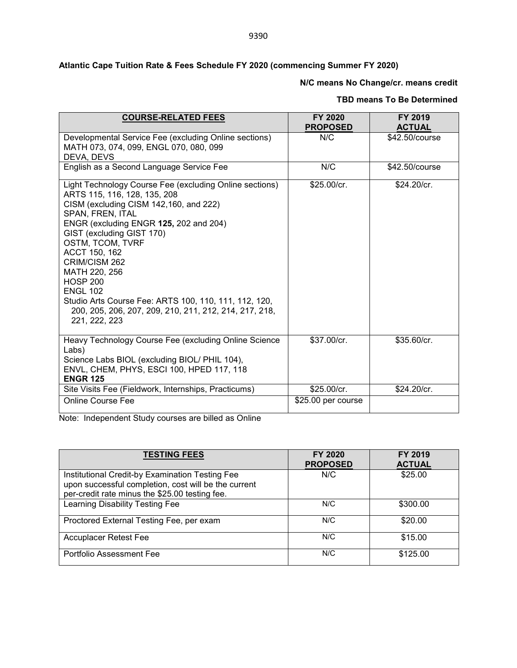## **Atlantic Cape Tuition Rate & Fees Schedule FY 2020 (commencing Summer FY 2020)**

# **N/C means No Change/cr. means credit**

### **TBD means To Be Determined**

| <b>COURSE-RELATED FEES</b>                                                                                                                                                                                                                                                                                                                                                                                                                                                    | FY 2020<br><b>PROPOSED</b> | FY 2019<br><b>ACTUAL</b> |
|-------------------------------------------------------------------------------------------------------------------------------------------------------------------------------------------------------------------------------------------------------------------------------------------------------------------------------------------------------------------------------------------------------------------------------------------------------------------------------|----------------------------|--------------------------|
| Developmental Service Fee (excluding Online sections)<br>MATH 073, 074, 099, ENGL 070, 080, 099<br>DEVA, DEVS                                                                                                                                                                                                                                                                                                                                                                 | N/C                        | \$42.50/course           |
| English as a Second Language Service Fee                                                                                                                                                                                                                                                                                                                                                                                                                                      | N/C                        | \$42.50/course           |
| Light Technology Course Fee (excluding Online sections)<br>ARTS 115, 116, 128, 135, 208<br>CISM (excluding CISM 142,160, and 222)<br>SPAN, FREN, ITAL<br>ENGR (excluding ENGR 125, 202 and 204)<br>GIST (excluding GIST 170)<br>OSTM, TCOM, TVRF<br>ACCT 150, 162<br>CRIM/CISM 262<br>MATH 220, 256<br><b>HOSP 200</b><br><b>ENGL 102</b><br>Studio Arts Course Fee: ARTS 100, 110, 111, 112, 120,<br>200, 205, 206, 207, 209, 210, 211, 212, 214, 217, 218,<br>221, 222, 223 | \$25.00/cr.                | \$24.20/cr.              |
| Heavy Technology Course Fee (excluding Online Science<br>Labs)<br>Science Labs BIOL (excluding BIOL/ PHIL 104),<br>ENVL, CHEM, PHYS, ESCI 100, HPED 117, 118<br><b>ENGR 125</b>                                                                                                                                                                                                                                                                                               | \$37.00/cr.                | \$35.60/cr.              |
| Site Visits Fee (Fieldwork, Internships, Practicums)                                                                                                                                                                                                                                                                                                                                                                                                                          | \$25.00/cr.                | \$24.20/cr.              |
| <b>Online Course Fee</b>                                                                                                                                                                                                                                                                                                                                                                                                                                                      | \$25.00 per course         |                          |

Note: Independent Study courses are billed as Online

| <b>TESTING FEES</b>                                                                                                                                       | FY 2020<br><b>PROPOSED</b> | FY 2019<br><b>ACTUAL</b> |
|-----------------------------------------------------------------------------------------------------------------------------------------------------------|----------------------------|--------------------------|
| Institutional Credit-by Examination Testing Fee<br>upon successful completion, cost will be the current<br>per-credit rate minus the \$25.00 testing fee. | N/C                        | \$25.00                  |
| Learning Disability Testing Fee                                                                                                                           | N/C                        | \$300.00                 |
| Proctored External Testing Fee, per exam                                                                                                                  | N/C                        | \$20.00                  |
| Accuplacer Retest Fee                                                                                                                                     | N/C                        | \$15.00                  |
| Portfolio Assessment Fee                                                                                                                                  | N/C                        | \$125.00                 |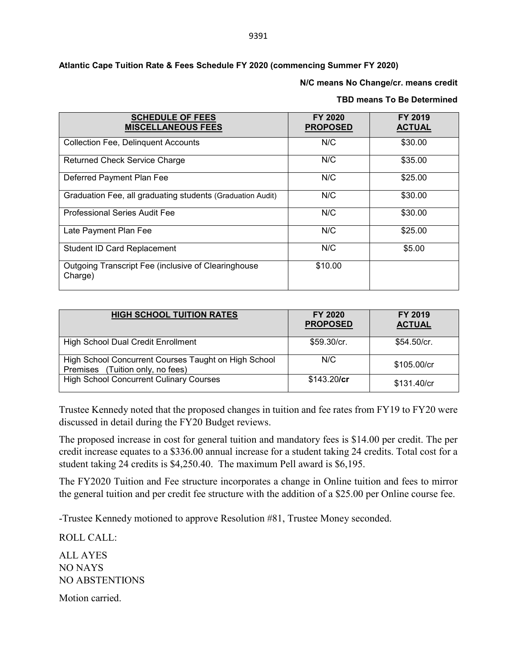#### **N/C means No Change/cr. means credit**

#### **TBD means To Be Determined**

| <b>SCHEDULE OF FEES</b><br><b>MISCELLANEOUS FEES</b>           | <b>FY 2020</b><br><b>PROPOSED</b> | FY 2019<br><b>ACTUAL</b> |
|----------------------------------------------------------------|-----------------------------------|--------------------------|
| <b>Collection Fee, Delinquent Accounts</b>                     | N/C                               | \$30.00                  |
| <b>Returned Check Service Charge</b>                           | N/C                               | \$35.00                  |
| Deferred Payment Plan Fee                                      | N/C                               | \$25.00                  |
| Graduation Fee, all graduating students (Graduation Audit)     | N/C                               | \$30.00                  |
| <b>Professional Series Audit Fee</b>                           | N/C                               | \$30.00                  |
| Late Payment Plan Fee                                          | N/C                               | \$25.00                  |
| <b>Student ID Card Replacement</b>                             | N/C                               | \$5.00                   |
| Outgoing Transcript Fee (inclusive of Clearinghouse<br>Charge) | \$10.00                           |                          |

| <b>HIGH SCHOOL TUITION RATES</b>                                                         | FY 2020<br><b>PROPOSED</b> | <b>FY 2019</b><br><b>ACTUAL</b> |
|------------------------------------------------------------------------------------------|----------------------------|---------------------------------|
| <b>High School Dual Credit Enrollment</b>                                                | \$59.30/cr.                | \$54.50/cr.                     |
| High School Concurrent Courses Taught on High School<br>Premises (Tuition only, no fees) | N/C                        | \$105.00/cr                     |
| <b>High School Concurrent Culinary Courses</b>                                           | \$143.20/cr                | \$131.40/cr                     |

Trustee Kennedy noted that the proposed changes in tuition and fee rates from FY19 to FY20 were discussed in detail during the FY20 Budget reviews.

The proposed increase in cost for general tuition and mandatory fees is \$14.00 per credit. The per credit increase equates to a \$336.00 annual increase for a student taking 24 credits. Total cost for a student taking 24 credits is \$4,250.40. The maximum Pell award is \$6,195.

The FY2020 Tuition and Fee structure incorporates a change in Online tuition and fees to mirror the general tuition and per credit fee structure with the addition of a \$25.00 per Online course fee.

-Trustee Kennedy motioned to approve Resolution #81, Trustee Money seconded.

ROLL CALL: ALL AYES NO NAYS NO ABSTENTIONS Motion carried.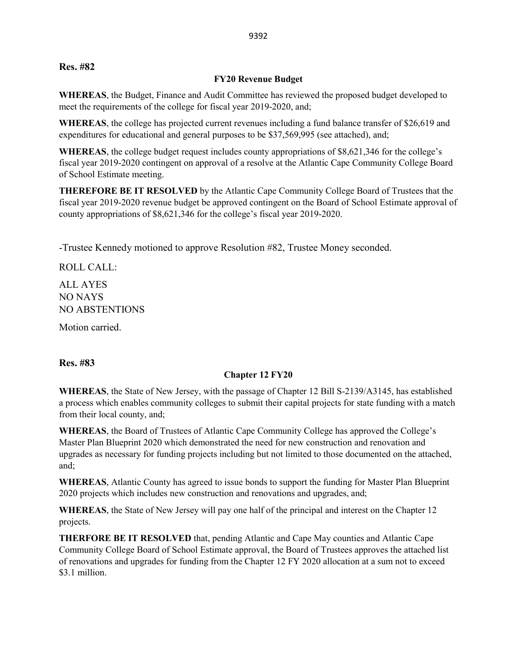### **Res. #82**

### **FY20 Revenue Budget**

**WHEREAS**, the Budget, Finance and Audit Committee has reviewed the proposed budget developed to meet the requirements of the college for fiscal year 2019-2020, and;

**WHEREAS**, the college has projected current revenues including a fund balance transfer of \$26,619 and expenditures for educational and general purposes to be \$37,569,995 (see attached), and;

**WHEREAS**, the college budget request includes county appropriations of \$8,621,346 for the college's fiscal year 2019-2020 contingent on approval of a resolve at the Atlantic Cape Community College Board of School Estimate meeting.

**THEREFORE BE IT RESOLVED** by the Atlantic Cape Community College Board of Trustees that the fiscal year 2019-2020 revenue budget be approved contingent on the Board of School Estimate approval of county appropriations of \$8,621,346 for the college's fiscal year 2019-2020.

-Trustee Kennedy motioned to approve Resolution #82, Trustee Money seconded.

ROLL CALL:

ALL AYES NO NAYS NO ABSTENTIONS

Motion carried.

**Res. #83**

## **Chapter 12 FY20**

**WHEREAS**, the State of New Jersey, with the passage of Chapter 12 Bill S-2139/A3145, has established a process which enables community colleges to submit their capital projects for state funding with a match from their local county, and;

**WHEREAS**, the Board of Trustees of Atlantic Cape Community College has approved the College's Master Plan Blueprint 2020 which demonstrated the need for new construction and renovation and upgrades as necessary for funding projects including but not limited to those documented on the attached, and;

**WHEREAS**, Atlantic County has agreed to issue bonds to support the funding for Master Plan Blueprint 2020 projects which includes new construction and renovations and upgrades, and;

**WHEREAS**, the State of New Jersey will pay one half of the principal and interest on the Chapter 12 projects.

**THERFORE BE IT RESOLVED** that, pending Atlantic and Cape May counties and Atlantic Cape Community College Board of School Estimate approval, the Board of Trustees approves the attached list of renovations and upgrades for funding from the Chapter 12 FY 2020 allocation at a sum not to exceed \$3.1 million.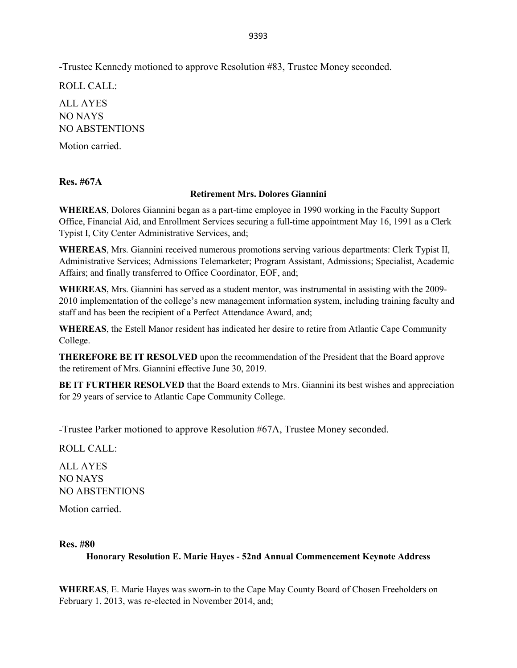-Trustee Kennedy motioned to approve Resolution #83, Trustee Money seconded.

ROLL CALL: ALL AYES NO NAYS NO ABSTENTIONS

Motion carried.

**Res. #67A**

### **Retirement Mrs. Dolores Giannini**

**WHEREAS**, Dolores Giannini began as a part-time employee in 1990 working in the Faculty Support Office, Financial Aid, and Enrollment Services securing a full-time appointment May 16, 1991 as a Clerk Typist I, City Center Administrative Services, and;

**WHEREAS**, Mrs. Giannini received numerous promotions serving various departments: Clerk Typist II, Administrative Services; Admissions Telemarketer; Program Assistant, Admissions; Specialist, Academic Affairs; and finally transferred to Office Coordinator, EOF, and;

**WHEREAS**, Mrs. Giannini has served as a student mentor, was instrumental in assisting with the 2009- 2010 implementation of the college's new management information system, including training faculty and staff and has been the recipient of a Perfect Attendance Award, and;

**WHEREAS**, the Estell Manor resident has indicated her desire to retire from Atlantic Cape Community College.

**THEREFORE BE IT RESOLVED** upon the recommendation of the President that the Board approve the retirement of Mrs. Giannini effective June 30, 2019.

**BE IT FURTHER RESOLVED** that the Board extends to Mrs. Giannini its best wishes and appreciation for 29 years of service to Atlantic Cape Community College.

-Trustee Parker motioned to approve Resolution #67A, Trustee Money seconded.

ROLL CALL:

ALL AYES NO NAYS NO ABSTENTIONS

Motion carried.

### **Res. #80**

**Honorary Resolution E. Marie Hayes - 52nd Annual Commencement Keynote Address**

**WHEREAS**, E. Marie Hayes was sworn-in to the Cape May County Board of Chosen Freeholders on February 1, 2013, was re-elected in November 2014, and;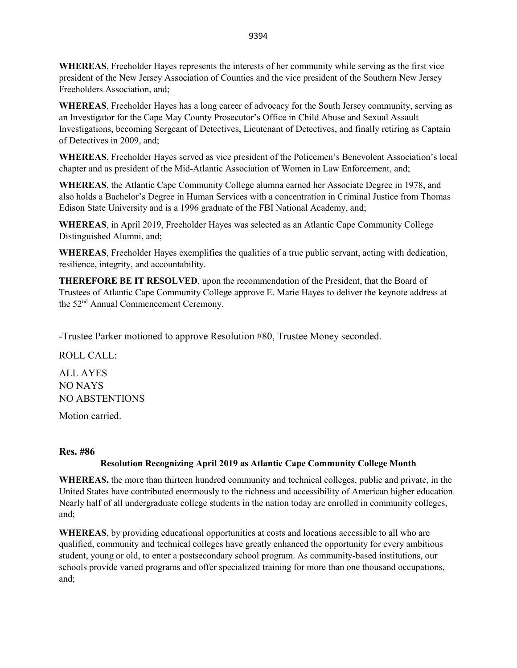**WHEREAS**, Freeholder Hayes represents the interests of her community while serving as the first vice president of the New Jersey Association of Counties and the vice president of the Southern New Jersey Freeholders Association, and;

**WHEREAS**, Freeholder Hayes has a long career of advocacy for the South Jersey community, serving as an Investigator for the Cape May County Prosecutor's Office in Child Abuse and Sexual Assault Investigations, becoming Sergeant of Detectives, Lieutenant of Detectives, and finally retiring as Captain of Detectives in 2009, and;

**WHEREAS**, Freeholder Hayes served as vice president of the Policemen's Benevolent Association's local chapter and as president of the Mid-Atlantic Association of Women in Law Enforcement, and;

**WHEREAS**, the Atlantic Cape Community College alumna earned her Associate Degree in 1978, and also holds a Bachelor's Degree in Human Services with a concentration in Criminal Justice from Thomas Edison State University and is a 1996 graduate of the FBI National Academy, and;

**WHEREAS**, in April 2019, Freeholder Hayes was selected as an Atlantic Cape Community College Distinguished Alumni, and;

**WHEREAS**, Freeholder Hayes exemplifies the qualities of a true public servant, acting with dedication, resilience, integrity, and accountability.

**THEREFORE BE IT RESOLVED**, upon the recommendation of the President, that the Board of Trustees of Atlantic Cape Community College approve E. Marie Hayes to deliver the keynote address at the 52nd Annual Commencement Ceremony.

-Trustee Parker motioned to approve Resolution #80, Trustee Money seconded.

ROLL CALL:

ALL AYES NO NAYS NO ABSTENTIONS

Motion carried.

## **Res. #86**

## **Resolution Recognizing April 2019 as Atlantic Cape Community College Month**

**WHEREAS,** the more than thirteen hundred community and technical colleges, public and private, in the United States have contributed enormously to the richness and accessibility of American higher education. Nearly half of all undergraduate college students in the nation today are enrolled in community colleges, and;

**WHEREAS**, by providing educational opportunities at costs and locations accessible to all who are qualified, community and technical colleges have greatly enhanced the opportunity for every ambitious student, young or old, to enter a postsecondary school program. As community-based institutions, our schools provide varied programs and offer specialized training for more than one thousand occupations, and;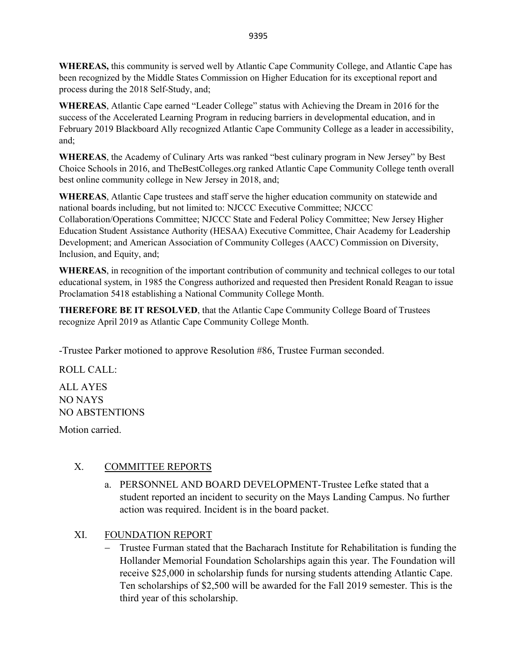**WHEREAS,** this community is served well by Atlantic Cape Community College, and Atlantic Cape has been recognized by the Middle States Commission on Higher Education for its exceptional report and process during the 2018 Self-Study, and;

**WHEREAS**, Atlantic Cape earned "Leader College" status with Achieving the Dream in 2016 for the success of the Accelerated Learning Program in reducing barriers in developmental education, and in February 2019 Blackboard Ally recognized Atlantic Cape Community College as a leader in accessibility, and;

**WHEREAS**, the Academy of Culinary Arts was ranked "best culinary program in New Jersey" by Best Choice Schools in 2016, and TheBestColleges.org ranked Atlantic Cape Community College tenth overall best online community college in New Jersey in 2018, and;

**WHEREAS**, Atlantic Cape trustees and staff serve the higher education community on statewide and national boards including, but not limited to: NJCCC Executive Committee; NJCCC Collaboration/Operations Committee; NJCCC State and Federal Policy Committee; New Jersey Higher Education Student Assistance Authority (HESAA) Executive Committee, Chair Academy for Leadership Development; and American Association of Community Colleges (AACC) Commission on Diversity, Inclusion, and Equity, and;

**WHEREAS**, in recognition of the important contribution of community and technical colleges to our total educational system, in 1985 the Congress authorized and requested then President Ronald Reagan to issue Proclamation 5418 establishing a National Community College Month.

**THEREFORE BE IT RESOLVED**, that the Atlantic Cape Community College Board of Trustees recognize April 2019 as Atlantic Cape Community College Month.

-Trustee Parker motioned to approve Resolution #86, Trustee Furman seconded.

ROLL CALL:

ALL AYES NO NAYS NO ABSTENTIONS

Motion carried.

## X. COMMITTEE REPORTS

- a. PERSONNEL AND BOARD DEVELOPMENT-Trustee Lefke stated that a student reported an incident to security on the Mays Landing Campus. No further action was required. Incident is in the board packet.
- XI. FOUNDATION REPORT
	- − Trustee Furman stated that the Bacharach Institute for Rehabilitation is funding the Hollander Memorial Foundation Scholarships again this year. The Foundation will receive \$25,000 in scholarship funds for nursing students attending Atlantic Cape. Ten scholarships of \$2,500 will be awarded for the Fall 2019 semester. This is the third year of this scholarship.